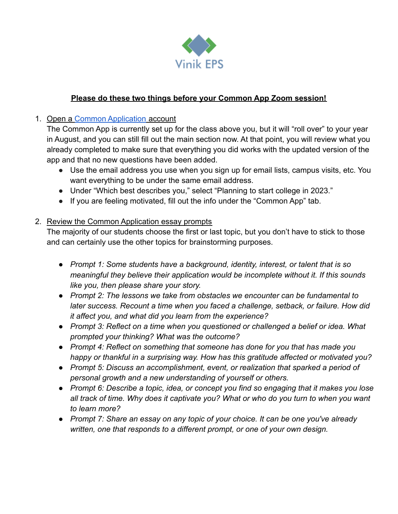

## **Please do these two things before your Common App Zoom session!**

## 1. Open a [Common Application](http://www.commonapp.org) account

The Common App is currently set up for the class above you, but it will "roll over" to your year in August, and you can still fill out the main section now. At that point, you will review what you already completed to make sure that everything you did works with the updated version of the app and that no new questions have been added.

- Use the email address you use when you sign up for email lists, campus visits, etc. You want everything to be under the same email address.
- Under "Which best describes you," select "Planning to start college in 2023."
- If you are feeling motivated, fill out the info under the "Common App" tab.

## 2. Review the Common Application essay prompts

The majority of our students choose the first or last topic, but you don't have to stick to those and can certainly use the other topics for brainstorming purposes.

- *● Prompt 1: Some students have a background, identity, interest, or talent that is so meaningful they believe their application would be incomplete without it. If this sounds like you, then please share your story.*
- *● Prompt 2: The lessons we take from obstacles we encounter can be fundamental to later success. Recount a time when you faced a challenge, setback, or failure. How did it affect you, and what did you learn from the experience?*
- *● Prompt 3: Reflect on a time when you questioned or challenged a belief or idea. What prompted your thinking? What was the outcome?*
- *● Prompt 4: Reflect on something that someone has done for you that has made you happy or thankful in a surprising way. How has this gratitude affected or motivated you?*
- *● Prompt 5: Discuss an accomplishment, event, or realization that sparked a period of personal growth and a new understanding of yourself or others.*
- *● Prompt 6: Describe a topic, idea, or concept you find so engaging that it makes you lose all track of time. Why does it captivate you? What or who do you turn to when you want to learn more?*
- *● Prompt 7: Share an essay on any topic of your choice. It can be one you've already written, one that responds to a different prompt, or one of your own design.*